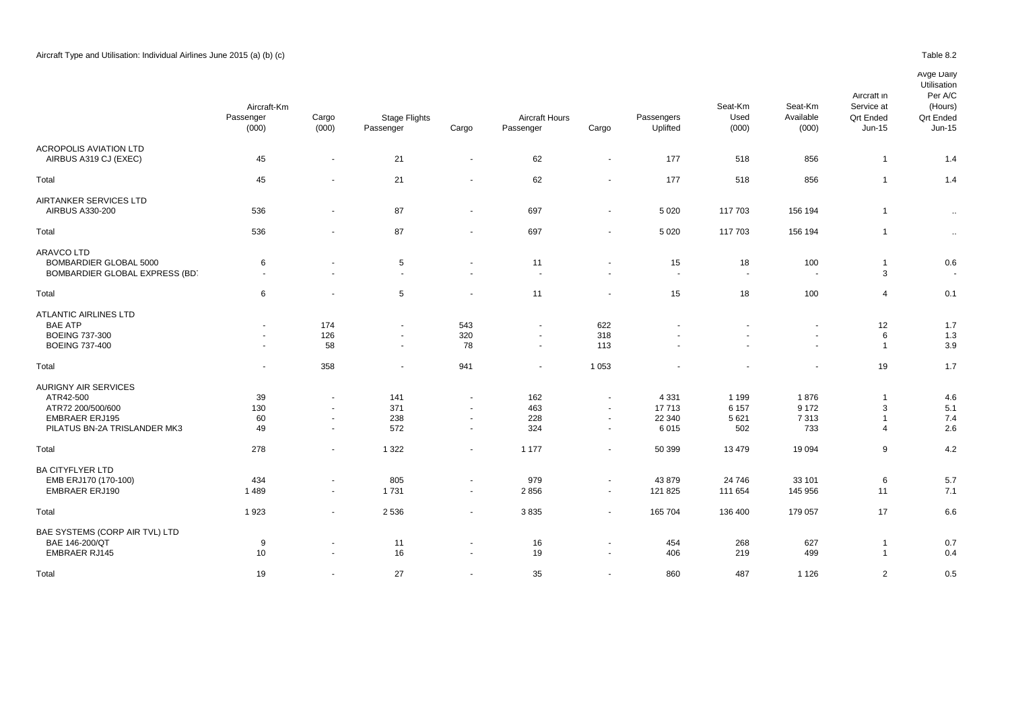ACROPOLIS AVIATION LTD<br>AIRBUS A319 CJ (EXEC)

|                             | Aircraft-Km<br>Passenger<br>(000) | Cargo<br>(000)           | <b>Stage Flights</b><br>Passenger | Cargo                    | <b>Aircraft Hours</b><br>Passenger | Cargo                    | Passengers<br>Uplifted | Seat-Km<br>Used<br>(000) | Seat-Km<br>Available<br>(000) | Aircraft in<br>Service at<br><b>Qrt Ended</b><br>Jun-15 | Avge Daily<br>Utilisation<br>Per A/C<br>(Hours)<br><b>Qrt Ended</b><br>Jun-15 |  |
|-----------------------------|-----------------------------------|--------------------------|-----------------------------------|--------------------------|------------------------------------|--------------------------|------------------------|--------------------------|-------------------------------|---------------------------------------------------------|-------------------------------------------------------------------------------|--|
| ROPOLIS AVIATION LTD        |                                   |                          |                                   |                          |                                    |                          |                        |                          |                               |                                                         |                                                                               |  |
| AIRBUS A319 CJ (EXEC)       | 45                                | $\overline{\phantom{a}}$ | 21                                | $\sim$                   | 62                                 | $\overline{\phantom{a}}$ | 177                    | 518                      | 856                           |                                                         | 1.4                                                                           |  |
| tal                         | 45                                | $\overline{a}$           | 21                                | $\overline{a}$           | 62                                 | $\overline{\phantom{a}}$ | 177                    | 518                      | 856                           |                                                         | 1.4                                                                           |  |
| <b>RTANKER SERVICES LTD</b> |                                   |                          |                                   |                          |                                    |                          |                        |                          |                               |                                                         |                                                                               |  |
| AIRBUS A330-200             | 536                               | $\overline{\phantom{a}}$ | 87                                | $\overline{\phantom{a}}$ | 697                                | $\sim$                   | 5 0 20                 | 117 703                  | 156 194                       |                                                         | $\sim$                                                                        |  |
| tal                         | 536                               | $\overline{\phantom{a}}$ | 87                                | $\sim$                   | 697                                | $\sim$                   | 5 0 2 0                | 117 703                  | 156 194                       |                                                         | $\sim$                                                                        |  |
| AVCO LTD                    |                                   |                          |                                   |                          |                                    |                          |                        |                          |                               |                                                         |                                                                               |  |
| BOMBARDIER GLOBAL 5000      | 6                                 | $\sim$                   | 5                                 | $\overline{\phantom{a}}$ | 11                                 | $\overline{\phantom{a}}$ | 15                     | 18                       | 100                           |                                                         | 0.6                                                                           |  |

| Total                                                    | 45     | ٠                        | 21          | $\sim$                   | 62                             | $\overline{\phantom{a}}$                   | 177                            | 518                            | 856            | -1                      | 1.4           |
|----------------------------------------------------------|--------|--------------------------|-------------|--------------------------|--------------------------------|--------------------------------------------|--------------------------------|--------------------------------|----------------|-------------------------|---------------|
| AIRTANKER SERVICES LTD                                   |        |                          |             |                          |                                |                                            |                                |                                |                | $\overline{1}$          |               |
| AIRBUS A330-200                                          | 536    | $\overline{\phantom{a}}$ | 87          | $\blacksquare$           | 697                            | $\blacksquare$                             | 5 0 20                         | 117 703                        | 156 194        |                         | $\sim$        |
| Total                                                    | 536    | $\overline{a}$           | 87          | $\blacksquare$           | 697                            | $\blacksquare$                             | 5 0 20                         | 117 703                        | 156 194        | $\overline{1}$          | $\sim$        |
| <b>ARAVCO LTD</b>                                        |        |                          |             |                          |                                |                                            |                                |                                |                |                         |               |
| BOMBARDIER GLOBAL 5000<br>BOMBARDIER GLOBAL EXPRESS (BD) | 6      | $\blacksquare$           | 5<br>$\sim$ | $\sim$<br>$\sim$         | 11<br>$\overline{\phantom{a}}$ | $\blacksquare$<br>$\overline{\phantom{a}}$ | 15<br>$\overline{\phantom{a}}$ | 18<br>$\overline{\phantom{a}}$ | 100            | 3                       | 0.6<br>$\sim$ |
| Total                                                    | 6      | $\blacksquare$           | 5           | $\overline{\phantom{a}}$ | 11                             | $\blacksquare$                             | 15                             | 18                             | 100            | 4                       | 0.1           |
| ATLANTIC AIRLINES LTD                                    |        |                          |             |                          |                                |                                            |                                |                                |                |                         |               |
| <b>BAE ATP</b>                                           | $\sim$ | 174                      | $\sim$      | 543                      | $\sim$                         | 622                                        |                                |                                |                | 12                      | 1.7           |
| <b>BOEING 737-300</b>                                    |        | 126                      | $\sim$      | 320                      | $\blacksquare$                 | 318                                        |                                |                                |                | 6                       | 1.3           |
| <b>BOEING 737-400</b>                                    | $\sim$ | 58                       | $\sim$      | 78                       | $\blacksquare$                 | 113                                        |                                |                                | $\blacksquare$ | $\overline{\mathbf{1}}$ | 3.9           |
| Total                                                    | $\sim$ | 358                      | $\sim$      | 941                      | $\blacksquare$                 | 1 0 5 3                                    |                                |                                |                | 19                      | 1.7           |
| AURIGNY AIR SERVICES                                     |        |                          |             |                          |                                |                                            |                                |                                |                |                         |               |
| ATR42-500                                                | 39     |                          | 141         | $\blacksquare$           | 162                            | $\overline{\phantom{a}}$                   | 4 3 3 1                        | 1 1 9 9                        | 1876           |                         | 4.6           |
| ATR72 200/500/600                                        | 130    |                          | 371         | $\sim$                   | 463                            | $\sim$                                     | 17713                          | 6 1 5 7                        | 9 1 7 2        | 3                       | 5.1           |
| <b>EMBRAER ERJ195</b>                                    | 60     |                          | 238         | $\sim$                   | 228                            | $\overline{\phantom{a}}$                   | 22 340                         | 5 6 21                         | 7313           |                         | 7.4           |
| PILATUS BN-2A TRISLANDER MK3                             | 49     | $\sim$                   | 572         | $\blacksquare$           | 324                            | $\sim$                                     | 6015                           | 502                            | 733            | $\overline{4}$          | 2.6           |
| Total                                                    | 278    | $\sim$                   | 1 3 2 2     | $\blacksquare$           | 1 1 7 7                        | $\sim$                                     | 50 399                         | 13 4 79                        | 19 094         | 9                       | 4.2           |
| <b>BA CITYFLYER LTD</b>                                  |        |                          |             |                          |                                |                                            |                                |                                |                |                         |               |
| EMB ERJ170 (170-100)                                     | 434    | $\overline{\phantom{a}}$ | 805         | $\blacksquare$           | 979                            | $\sim$                                     | 43 879                         | 24 746                         | 33 101         | 6                       | 5.7           |
| <b>EMBRAER ERJ190</b>                                    | 1489   | $\blacksquare$           | 1731        | $\sim$                   | 2856                           | $\overline{\phantom{a}}$                   | 121 825                        | 111 654                        | 145 956        | 11                      | 7.1           |
| Total                                                    | 1923   | $\blacksquare$           | 2 5 3 6     | $\blacksquare$           | 3835                           | $\blacksquare$                             | 165 704                        | 136 400                        | 179 057        | 17                      | 6.6           |
| BAE SYSTEMS (CORP AIR TVL) LTD                           |        |                          |             |                          |                                |                                            |                                |                                |                |                         |               |
| BAE 146-200/QT                                           | 9      | $\blacksquare$           | 11          | $\overline{\phantom{a}}$ | 16                             | $\blacksquare$                             | 454                            | 268                            | 627            | -1                      | 0.7           |
| <b>EMBRAER RJ145</b>                                     | 10     | $\blacksquare$           | 16          | $\sim$                   | 19                             | $\sim$                                     | 406                            | 219                            | 499            | $\overline{1}$          | 0.4           |
| Total                                                    | 19     |                          | 27          | $\blacksquare$           | 35                             | $\blacksquare$                             | 860                            | 487                            | 1 1 2 6        | $\overline{2}$          | 0.5           |
|                                                          |        |                          |             |                          |                                |                                            |                                |                                |                |                         |               |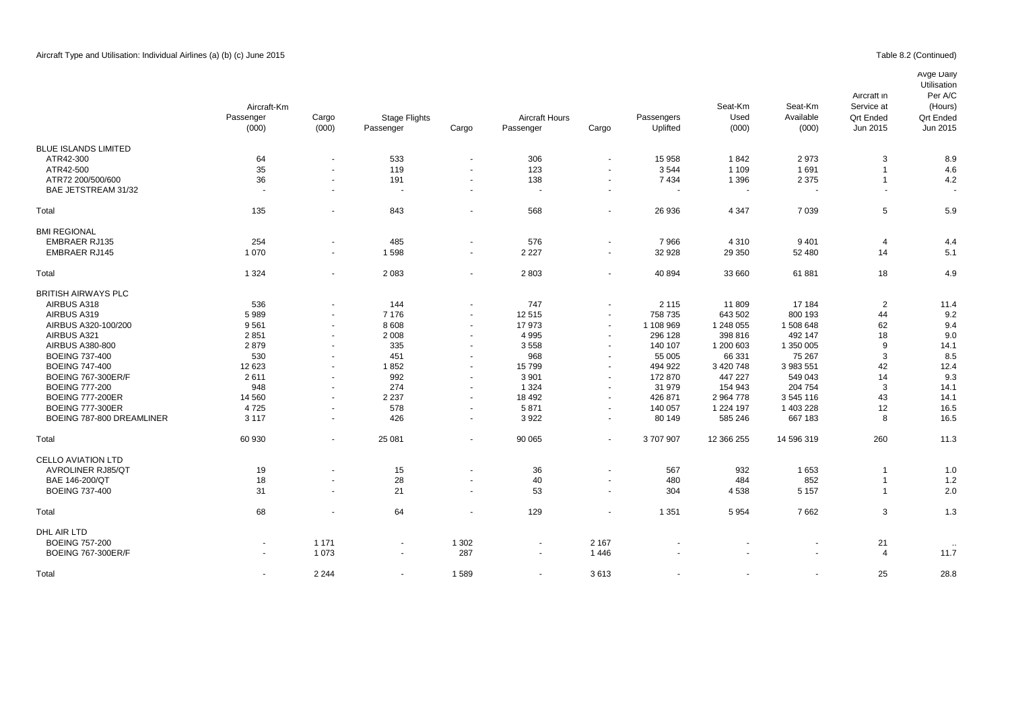## Table 8.2 (Continued)

# Avge Daily

|                             | Aircraft-Km              |                          |                          |                          |                       |                          |            | Seat-Km                  | Seat-Km    | Aircraft in<br>Service at | Utilisation<br>Per A/C<br>(Hours) |
|-----------------------------|--------------------------|--------------------------|--------------------------|--------------------------|-----------------------|--------------------------|------------|--------------------------|------------|---------------------------|-----------------------------------|
|                             | Passenger                | Cargo                    | <b>Stage Flights</b>     |                          | <b>Aircraft Hours</b> |                          | Passengers | Used                     | Available  | <b>Qrt Ended</b>          | <b>Qrt Ended</b>                  |
|                             | (000)                    | (000)                    | Passenger                | Cargo                    | Passenger             | Cargo                    | Uplifted   | (000)                    | (000)      | Jun 2015                  | Jun 2015                          |
| <b>BLUE ISLANDS LIMITED</b> |                          |                          |                          |                          |                       |                          |            |                          |            |                           |                                   |
| ATR42-300                   | 64                       | $\overline{a}$           | 533                      | $\sim$                   | 306                   |                          | 15 958     | 1842                     | 2973       | 3                         | 8.9                               |
| ATR42-500                   | 35                       | $\blacksquare$           | 119                      | $\blacksquare$           | 123                   |                          | 3544       | 1 1 0 9                  | 1691       |                           | 4.6                               |
| ATR72 200/500/600           | 36                       | $\mathbf{r}$             | 191                      | $\sim$                   | 138                   |                          | 7434       | 1 3 9 6                  | 2 3 7 5    | $\overline{1}$            | 4.2                               |
| BAE JETSTREAM 31/32         | $\sim$                   | $\overline{\phantom{a}}$ | $\sim$                   | $\sim$                   | ٠.                    |                          | $\sim$     | $\overline{\phantom{a}}$ |            |                           |                                   |
| Total                       | 135                      | $\overline{\phantom{a}}$ | 843                      | $\blacksquare$           | 568                   |                          | 26 936     | 4 3 4 7                  | 7 0 3 9    | 5                         | 5.9                               |
| <b>BMI REGIONAL</b>         |                          |                          |                          |                          |                       |                          |            |                          |            |                           |                                   |
| <b>EMBRAER RJ135</b>        | 254                      | $\blacksquare$           | 485                      | $\blacksquare$           | 576                   |                          | 7966       | 4 3 1 0                  | 9401       | 4                         | 4.4                               |
| <b>EMBRAER RJ145</b>        | 1070                     | $\blacksquare$           | 1598                     | $\blacksquare$           | 2 2 2 7               | $\sim$                   | 32 928     | 29 350                   | 52 480     | 14                        | 5.1                               |
| Total                       | 1 3 2 4                  | $\blacksquare$           | 2 0 8 3                  | $\blacksquare$           | 2803                  | $\overline{\phantom{a}}$ | 40 894     | 33 660                   | 61881      | 18                        | 4.9                               |
| <b>BRITISH AIRWAYS PLC</b>  |                          |                          |                          |                          |                       |                          |            |                          |            |                           |                                   |
| AIRBUS A318                 | 536                      | $\overline{\phantom{a}}$ | 144                      | $\blacksquare$           | 747                   |                          | 2 1 1 5    | 11 809                   | 17 184     | $\overline{2}$            | 11.4                              |
| AIRBUS A319                 | 5989                     |                          | 7 1 7 6                  | $\sim$                   | 12515                 |                          | 758 735    | 643 502                  | 800 193    | 44                        | 9.2                               |
| AIRBUS A320-100/200         | 9561                     |                          | 8608                     | $\sim$                   | 17973                 | $\sim$                   | 1 108 969  | 1 248 055                | 1 508 648  | 62                        | 9.4                               |
| AIRBUS A321                 | 2851                     | $\sim$                   | 2 0 0 8                  | $\blacksquare$           | 4 9 9 5               | $\overline{\phantom{a}}$ | 296 128    | 398 816                  | 492 147    | 18                        | 9.0                               |
| AIRBUS A380-800             | 2879                     | $\overline{\phantom{a}}$ | 335                      | $\blacksquare$           | 3558                  | $\overline{\phantom{a}}$ | 140 107    | 1 200 603                | 1 350 005  | 9                         | 14.1                              |
| <b>BOEING 737-400</b>       | 530                      | $\blacksquare$           | 451                      | $\blacksquare$           | 968                   | $\sim$                   | 55 005     | 66 331                   | 75 267     | 3                         | 8.5                               |
| <b>BOEING 747-400</b>       | 12 623                   | $\sim$                   | 1852                     | $\blacksquare$           | 15799                 | $\sim$                   | 494 922    | 3 4 20 7 48              | 3 983 551  | 42                        | 12.4                              |
| <b>BOEING 767-300ER/F</b>   | 2611                     | $\sim$                   | 992                      | $\blacksquare$           | 3 9 0 1               | $\sim$                   | 172 870    | 447 227                  | 549 043    | 14                        | 9.3                               |
| <b>BOEING 777-200</b>       | 948                      |                          | 274                      | $\sim$                   | 1 3 2 4               |                          | 31 979     | 154 943                  | 204 754    | 3                         | 14.1                              |
| <b>BOEING 777-200ER</b>     | 14 5 60                  | $\mathbf{r}$             | 2 2 3 7                  | $\sim$                   | 18 492                | $\sim$                   | 426 871    | 2 964 778                | 3 545 116  | 43                        | 14.1                              |
| <b>BOEING 777-300ER</b>     | 4725                     | $\sim$                   | 578                      | $\sim$                   | 5871                  | $\sim$                   | 140 057    | 1 2 2 4 1 9 7            | 1 403 228  | 12                        | 16.5                              |
| BOEING 787-800 DREAMLINER   | 3 1 1 7                  | $\blacksquare$           | 426                      | $\blacksquare$           | 3922                  | $\sim$                   | 80 149     | 585 246                  | 667 183    | 8                         | 16.5                              |
| Total                       | 60 930                   | $\sim$                   | 25 081                   | $\sim$                   | 90 065                |                          | 3707907    | 12 366 255               | 14 596 319 | 260                       | 11.3                              |
| <b>CELLO AVIATION LTD</b>   |                          |                          |                          |                          |                       |                          |            |                          |            |                           |                                   |
| <b>AVROLINER RJ85/QT</b>    | 19                       | ÷,                       | 15                       | $\overline{\phantom{a}}$ | 36                    |                          | 567        | 932                      | 1653       | -1                        | 1.0                               |
| BAE 146-200/QT              | 18                       |                          | 28                       | $\blacksquare$           | 40                    | $\overline{\phantom{a}}$ | 480        | 484                      | 852        | -1                        | 1.2                               |
| <b>BOEING 737-400</b>       | 31                       | $\mathbf{r}$             | 21                       | $\sim$                   | 53                    | $\sim$                   | 304        | 4538                     | 5 1 5 7    | $\overline{1}$            | 2.0                               |
| Total                       | 68                       | $\blacksquare$           | 64                       | $\blacksquare$           | 129                   |                          | 1 3 5 1    | 5954                     | 7662       | 3                         | 1.3                               |
| DHL AIR LTD                 |                          |                          |                          |                          |                       |                          |            |                          |            |                           |                                   |
| <b>BOEING 757-200</b>       | $\overline{\phantom{a}}$ | 1 1 7 1                  | $\overline{\phantom{a}}$ | 1 3 0 2                  | $\blacksquare$        | 2 1 6 7                  |            |                          |            | 21                        |                                   |
| <b>BOEING 767-300ER/F</b>   | ٠                        | 1 0 7 3                  |                          | 287                      |                       | 1446                     |            |                          |            | $\overline{4}$            | 11.7                              |
| Total                       | $\sim$                   | 2 2 4 4                  |                          | 1589                     | $\sim$                | 3613                     |            |                          |            | 25                        | 28.8                              |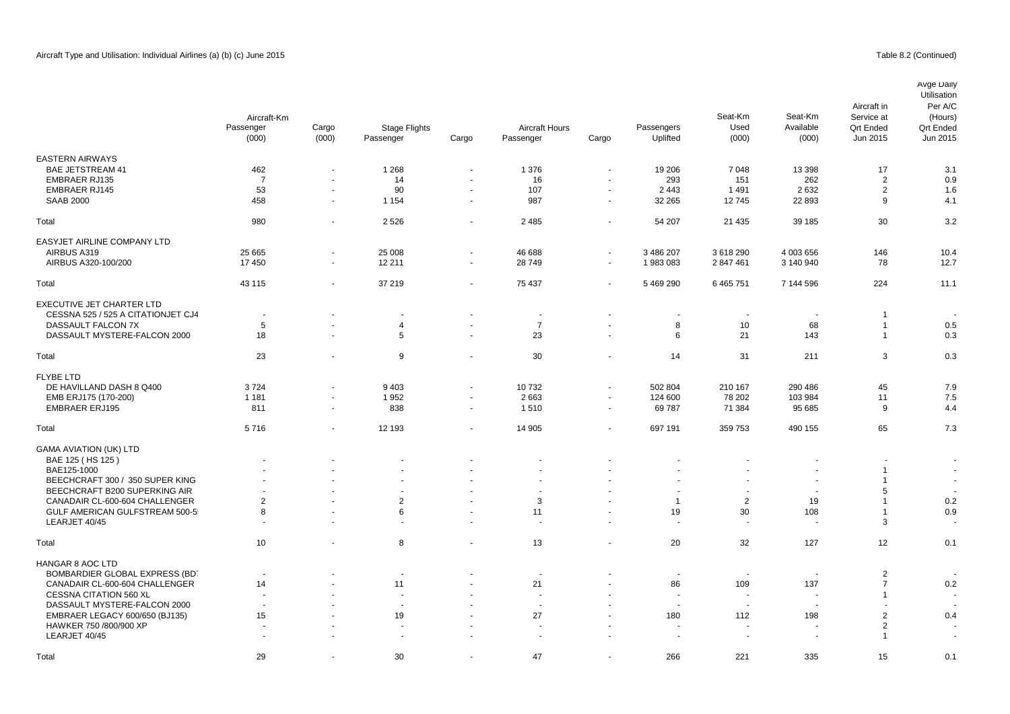|                                    | Aircraft-Km<br>Passenger<br>(000) | Cargo<br>(000)           | <b>Stage Flights</b><br>Passenger | Cargo          | <b>Aircraft Hours</b><br>Passenger | Cargo                    | Passengers<br>Uplifted   | Seat-Km<br>Used<br>(000) | Seat-Km<br>Available<br>(000) | Aircraft in<br>Service at<br><b>Qrt Ended</b><br>Jun 2015 | Avge Daily<br>Utilisation<br>Per A/C<br>(Hours)<br><b>Qrt Ended</b><br>Jun 2015 |
|------------------------------------|-----------------------------------|--------------------------|-----------------------------------|----------------|------------------------------------|--------------------------|--------------------------|--------------------------|-------------------------------|-----------------------------------------------------------|---------------------------------------------------------------------------------|
|                                    |                                   |                          |                                   |                |                                    |                          |                          |                          |                               |                                                           |                                                                                 |
| <b>EASTERN AIRWAYS</b>             |                                   |                          |                                   |                |                                    |                          |                          |                          |                               |                                                           |                                                                                 |
| <b>BAE JETSTREAM 41</b>            | 462                               | $\ddot{\phantom{1}}$     | 1 2 6 8                           | $\sim$         | 1 376                              | $\overline{\phantom{a}}$ | 19 20 6                  | 7 0 4 8                  | 13 3 98                       | 17                                                        | 3.1                                                                             |
| <b>EMBRAER RJ135</b>               | $\overline{7}$                    | $\sim$                   | 14                                | ÷.             | 16                                 | $\blacksquare$           | 293                      | 151                      | 262                           | $\overline{2}$                                            | 0.9                                                                             |
| <b>EMBRAER RJ145</b>               | 53                                | $\blacksquare$           | 90                                | $\sim$         | 107                                | $\overline{\phantom{a}}$ | 2 4 4 3                  | 1491                     | 2632                          | $\overline{2}$                                            | 1.6                                                                             |
| <b>SAAB 2000</b>                   | 458                               | $\sim$                   | 1 1 5 4                           | $\sim$         | 987                                | $\sim$                   | 32 265                   | 12745                    | 22 893                        | 9                                                         | 4.1                                                                             |
| Total                              | 980                               | ÷,                       | 2 5 2 6                           | $\sim$         | 2 4 8 5                            | $\overline{\phantom{a}}$ | 54 207                   | 21 4 35                  | 39 185                        | 30                                                        | 3.2                                                                             |
| <b>EASYJET AIRLINE COMPANY LTD</b> |                                   |                          |                                   |                |                                    |                          |                          |                          |                               |                                                           |                                                                                 |
| AIRBUS A319                        | 25 6 65                           | $\blacksquare$           | 25 008                            | $\sim$         | 46 688                             | $\overline{\phantom{a}}$ | 3 486 207                | 3618290                  | 4 003 656                     | 146                                                       | 10.4                                                                            |
| AIRBUS A320-100/200                | 17450                             | $\overline{\phantom{a}}$ | 12 211                            | $\sim$         | 28749                              | $\blacksquare$           | 1983083                  | 2 847 461                | 3 140 940                     | 78                                                        | 12.7                                                                            |
|                                    |                                   |                          |                                   |                |                                    |                          |                          |                          |                               |                                                           |                                                                                 |
| Total                              | 43 115                            | $\overline{\phantom{a}}$ | 37 219                            | $\sim$         | 75 437                             | $\blacksquare$           | 5 469 290                | 6 4 6 5 7 5 1            | 7 144 596                     | 224                                                       | 11.1                                                                            |
| <b>EXECUTIVE JET CHARTER LTD</b>   |                                   |                          |                                   |                |                                    |                          |                          |                          |                               |                                                           |                                                                                 |
| CESSNA 525 / 525 A CITATIONJET CJ4 | $\sim$                            | $\overline{\phantom{a}}$ | $\overline{\phantom{a}}$          | $\sim$         | $\sim$                             |                          | $\overline{\phantom{a}}$ | $\overline{\phantom{a}}$ | $\overline{\phantom{a}}$      | -1                                                        | $\overline{a}$                                                                  |
| DASSAULT FALCON 7X                 | 5                                 |                          | $\overline{4}$                    | $\blacksquare$ | $\overline{7}$                     |                          | 8                        | 10                       | 68                            | $\overline{1}$                                            | 0.5                                                                             |
| DASSAULT MYSTERE-FALCON 2000       | 18                                |                          | $5\phantom{.0}$                   | $\sim$         | 23                                 | $\overline{\phantom{a}}$ | 6                        | 21                       | 143                           | $\overline{1}$                                            | 0.3                                                                             |
| Total                              | 23                                | $\overline{\phantom{a}}$ | 9                                 | $\sim$         | 30                                 |                          | 14                       | 31                       | 211                           | 3                                                         | 0.3                                                                             |
| <b>FLYBE LTD</b>                   |                                   |                          |                                   |                |                                    |                          |                          |                          |                               |                                                           |                                                                                 |
| DE HAVILLAND DASH 8 Q400           | 3724                              | ÷,                       | 9 4 0 3                           | $\sim$         | 10732                              | $\sim$                   | 502 804                  | 210 167                  | 290 486                       | 45                                                        | 7.9                                                                             |
| EMB ERJ175 (170-200)               | 1 1 8 1                           | $\blacksquare$           | 1952                              | $\sim$         | 2 6 6 3                            | $\blacksquare$           | 124 600                  | 78 202                   | 103 984                       | 11                                                        | 7.5                                                                             |
| <b>EMBRAER ERJ195</b>              | 811                               | $\sim$                   | 838                               | $\sim$         | 1510                               | $\sim$                   | 69787                    | 71 384                   | 95 685                        | 9                                                         | 4.4                                                                             |
|                                    |                                   |                          |                                   |                |                                    |                          |                          |                          |                               |                                                           |                                                                                 |
| Total                              | 5716                              | $\sim$                   | 12 193                            | $\sim$         | 14 905                             | $\overline{\phantom{a}}$ | 697 191                  | 359 753                  | 490 155                       | 65                                                        | 7.3                                                                             |
| <b>GAMA AVIATION (UK) LTD</b>      |                                   |                          |                                   |                |                                    |                          |                          |                          |                               |                                                           |                                                                                 |
| BAE 125 (HS 125)                   |                                   |                          |                                   |                |                                    |                          |                          |                          |                               |                                                           | $\overline{\phantom{a}}$                                                        |
| BAE125-1000                        |                                   |                          |                                   |                |                                    |                          |                          |                          |                               | $\overline{1}$                                            | $\sim$                                                                          |
| BEECHCRAFT 300 / 350 SUPER KING    |                                   |                          |                                   |                |                                    |                          |                          |                          |                               | $\overline{1}$                                            | $\sim$                                                                          |
| BEECHCRAFT B200 SUPERKING AIR      |                                   |                          |                                   |                |                                    |                          | $\overline{\phantom{a}}$ | $\sim$                   | $\overline{\phantom{a}}$      | 5                                                         |                                                                                 |
| CANADAIR CL-600-604 CHALLENGER     | $\overline{2}$                    |                          | $\overline{2}$                    | $\sim$         | 3                                  |                          | $\mathbf{1}$             | $\overline{2}$           | 19                            | $\overline{1}$                                            | 0.2                                                                             |
| GULF AMERICAN GULFSTREAM 500-5     | 8                                 |                          | 6                                 |                | 11                                 |                          | 19                       | 30                       | 108                           | $\overline{1}$                                            | 0.9                                                                             |
| LEARJET 40/45                      | $\sim$                            |                          |                                   |                | $\overline{a}$                     |                          | in 1919.                 | ÷.                       | з.                            | 3                                                         |                                                                                 |
| Total                              | 10                                | $\blacksquare$           | 8                                 | $\blacksquare$ | 13                                 |                          | 20                       | 32                       | 127                           | 12                                                        | 0.1                                                                             |
|                                    |                                   |                          |                                   |                |                                    |                          |                          |                          |                               |                                                           |                                                                                 |
| HANGAR 8 AOC LTD                   |                                   |                          |                                   |                |                                    |                          |                          |                          |                               |                                                           |                                                                                 |
| BOMBARDIER GLOBAL EXPRESS (BD)     |                                   |                          | $\overline{\phantom{a}}$          |                |                                    |                          | $\overline{a}$           | $\overline{\phantom{a}}$ | <b>.</b>                      | $\overline{2}$                                            |                                                                                 |
| CANADAIR CL-600-604 CHALLENGER     | 14                                |                          | 11                                | $\sim$         | 21                                 |                          | 86                       | 109                      | 137                           | $\overline{7}$                                            | 0.2                                                                             |
| CESSNA CITATION 560 XL             |                                   |                          | $\sim$                            |                | $\overline{a}$                     |                          | $\overline{a}$           | $\overline{\phantom{a}}$ | $\sim$                        | $\overline{1}$                                            |                                                                                 |
| DASSAULT MYSTERE-FALCON 2000       |                                   |                          |                                   |                |                                    |                          |                          | ٠.                       |                               |                                                           |                                                                                 |
| EMBRAER LEGACY 600/650 (BJ135)     | 15                                |                          | 19                                |                | 27                                 |                          | 180                      | 112                      | 198                           | $\overline{2}$                                            | 0.4                                                                             |
| HAWKER 750 /800/900 XP             |                                   |                          | $\sim$                            |                |                                    |                          | ÷.                       | $\sim$                   | $\overline{\phantom{a}}$      | $\overline{2}$                                            |                                                                                 |
| LEARJET 40/45                      |                                   |                          |                                   |                |                                    |                          |                          |                          |                               | $\overline{1}$                                            |                                                                                 |

Total 29 - 30 - 47 - 266 221 335 15 0.1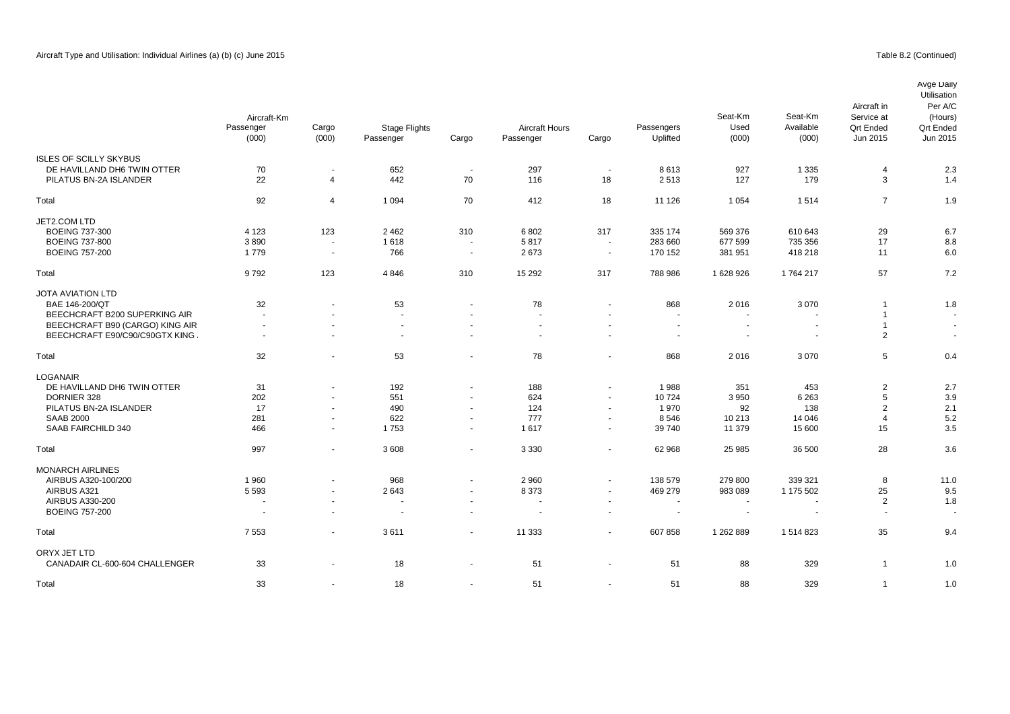|                                 | Aircraft-Km              |                          |                          |           |                       |                          |                          | Seat-Km                  | Seat-Km                  | Aircraft in<br>Service at | Avge Daily<br>Utilisation<br>Per A/C<br>(Hours) |          |
|---------------------------------|--------------------------|--------------------------|--------------------------|-----------|-----------------------|--------------------------|--------------------------|--------------------------|--------------------------|---------------------------|-------------------------------------------------|----------|
|                                 | Passenger                | Cargo                    | <b>Stage Flights</b>     |           | <b>Aircraft Hours</b> |                          | Passengers               | Used                     | Available                | <b>Qrt Ended</b>          | <b>Qrt Ended</b>                                |          |
|                                 | (000)                    |                          | (000)                    | Passenger | Cargo                 | Passenger                | Cargo                    | Uplifted                 | (000)                    | (000)                     | Jun 2015                                        | Jun 2015 |
| <b>ISLES OF SCILLY SKYBUS</b>   |                          |                          |                          |           |                       |                          |                          |                          |                          |                           |                                                 |          |
| DE HAVILLAND DH6 TWIN OTTER     | 70                       | $\blacksquare$           | 652                      | $\sim$    | 297                   | $\sim$                   | 8613                     | 927                      | 1 3 3 5                  | $\overline{4}$            | 2.3                                             |          |
| PILATUS BN-2A ISLANDER          | 22                       | $\overline{4}$           | 442                      | 70        | 116                   | 18                       | 2513                     | 127                      | 179                      | 3                         | 1.4                                             |          |
| Total                           | 92                       | $\overline{4}$           | 1 0 9 4                  | 70        | 412                   | 18                       | 11 1 26                  | 1 0 5 4                  | 1514                     | $\overline{7}$            | 1.9                                             |          |
| JET2.COM LTD                    |                          |                          |                          |           |                       |                          |                          |                          |                          |                           |                                                 |          |
| <b>BOEING 737-300</b>           | 4 1 2 3                  | 123                      | 2 4 6 2                  | 310       | 6802                  | 317                      | 335 174                  | 569 376                  | 610 643                  | 29                        | 6.7                                             |          |
| <b>BOEING 737-800</b>           | 3890                     | $\sim$                   | 1618                     | $\sim$    | 5817                  | $\sim$                   | 283 660                  | 677 599                  | 735 356                  | 17                        | 8.8                                             |          |
| <b>BOEING 757-200</b>           | 1779                     | $\overline{\phantom{a}}$ | 766                      | $\sim$    | 2673                  | $\sim$                   | 170 152                  | 381 951                  | 418 218                  | 11                        | 6.0                                             |          |
| Total                           | 9792                     | 123                      | 4846                     | 310       | 15 29 2               | 317                      | 788 986                  | 1 628 926                | 1764217                  | 57                        | 7.2                                             |          |
| <b>JOTA AVIATION LTD</b>        |                          |                          |                          |           |                       |                          |                          |                          |                          |                           |                                                 |          |
| BAE 146-200/QT                  | 32                       |                          | 53                       |           | 78                    |                          | 868                      | 2016                     | 3070                     | -1                        | 1.8                                             |          |
| BEECHCRAFT B200 SUPERKING AIR   | $\sim$                   | $\blacksquare$           | ÷,                       | $\sim$    | ÷.                    | $\sim$                   | $\overline{\phantom{a}}$ | $\sim$                   | $\overline{\phantom{a}}$ | $\overline{1}$            | $\overline{\phantom{a}}$                        |          |
| BEECHCRAFT B90 (CARGO) KING AIR | $\overline{\phantom{a}}$ |                          |                          |           |                       |                          |                          |                          |                          | $\overline{1}$            |                                                 |          |
| BEECHCRAFT E90/C90/C90GTX KING  | $\sim$                   | $\blacksquare$           | $\overline{\phantom{a}}$ | $\sim$    | $\blacksquare$        | $\overline{\phantom{a}}$ | $\overline{\phantom{a}}$ | $\overline{\phantom{a}}$ | $\overline{\phantom{a}}$ | 2                         | $\blacksquare$                                  |          |
| Total                           | 32                       | $\sim$                   | 53                       | $\sim$    | 78                    | $\overline{\phantom{a}}$ | 868                      | 2016                     | 3 0 7 0                  | 5                         | 0.4                                             |          |
| LOGANAIR                        |                          |                          |                          |           |                       |                          |                          |                          |                          |                           |                                                 |          |
| DE HAVILLAND DH6 TWIN OTTER     | 31                       | $\sim$                   | 192                      | $\sim$    | 188                   | $\overline{\phantom{a}}$ | 1988                     | 351                      | 453                      | $\overline{2}$            | 2.7                                             |          |
| DORNIER 328                     | 202                      |                          | 551                      | $\sim$    | 624                   | $\overline{\phantom{a}}$ | 10724                    | 3 9 5 0                  | 6 2 6 3                  | 5                         | 3.9                                             |          |
| PILATUS BN-2A ISLANDER          | 17                       | $\sim$                   | 490                      | $\sim$    | 124                   | $\sim$                   | 1970                     | 92                       | 138                      | 2                         | 2.1                                             |          |
| <b>SAAB 2000</b>                | 281                      | $\sim$                   | 622                      | $\sim$    | 777                   | $\sim$                   | 8546                     | 10 213                   | 14 04 6                  | $\overline{4}$            | 5.2                                             |          |
| SAAB FAIRCHILD 340              | 466                      | $\overline{\phantom{a}}$ | 1753                     | $\sim$    | 1617                  | $\sim$                   | 39 740                   | 11 379                   | 15 600                   | 15                        | 3.5                                             |          |
| Total                           | 997                      | $\sim$                   | 3608                     | $\sim$    | 3 3 3 0               | $\overline{\phantom{a}}$ | 62 968                   | 25 985                   | 36 500                   | 28                        | 3.6                                             |          |
| <b>MONARCH AIRLINES</b>         |                          |                          |                          |           |                       |                          |                          |                          |                          |                           |                                                 |          |
| AIRBUS A320-100/200             | 1960                     | $\blacksquare$           | 968                      | $\sim$    | 2 9 6 0               | $\overline{\phantom{a}}$ | 138 579                  | 279 800                  | 339 321                  | 8                         | 11.0                                            |          |
| AIRBUS A321                     | 5 5 9 3                  | $\blacksquare$           | 2643                     | $\sim$    | 8 3 7 3               | $\overline{\phantom{a}}$ | 469 279                  | 983 089                  | 1 175 502                | 25                        | 9.5                                             |          |
| AIRBUS A330-200                 |                          | $\overline{a}$           | $\overline{a}$           | $\sim$    | $\overline{a}$        | $\sim$                   |                          |                          | $\overline{\phantom{a}}$ | 2                         | 1.8                                             |          |
| <b>BOEING 757-200</b>           | $\overline{\phantom{a}}$ | $\blacksquare$           | $\overline{\phantom{a}}$ | $\sim$    | $\sim$                | $\overline{\phantom{a}}$ | $\overline{\phantom{a}}$ | $\sim$                   | $\overline{\phantom{a}}$ | $\overline{a}$            |                                                 |          |
| Total                           | 7 5 5 3                  | $\blacksquare$           | 3611                     | $\sim$    | 11 333                | $\overline{\phantom{a}}$ | 607858                   | 1 262 889                | 1 514 823                | 35                        | 9.4                                             |          |
| ORYX JET LTD                    |                          |                          |                          |           |                       |                          |                          |                          |                          |                           |                                                 |          |
| CANADAIR CL-600-604 CHALLENGER  | 33                       |                          | 18                       |           | 51                    |                          | 51                       | 88                       | 329                      | $\mathbf{1}$              | 1.0                                             |          |

Total 33 - 18 - 51 - 51 88 329 1 1.0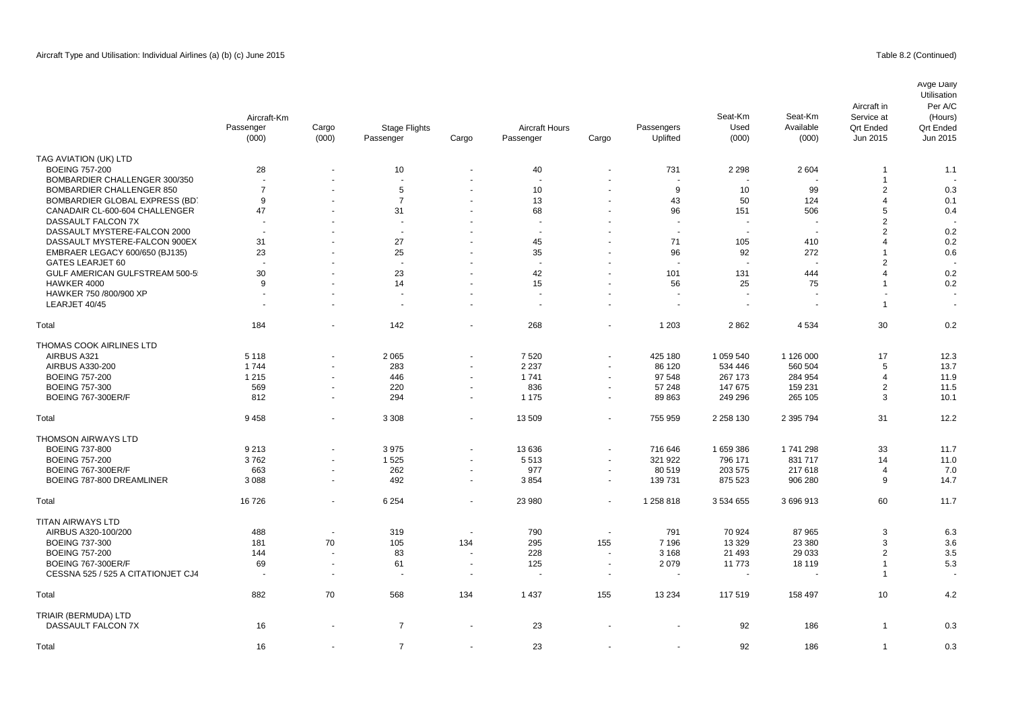|                                    | Aircraft-Km<br>Passenger<br>(000) | Cargo<br>(000)           | <b>Stage Flights</b><br>Passenger | Cargo                    | <b>Aircraft Hours</b><br>Passenger | Cargo                    | Passengers<br>Uplifted | Seat-Km<br>Used<br>(000) | Seat-Km<br>Available<br>(000) | Aircraft in<br>Service at<br><b>Qrt Ended</b><br>Jun 2015 | Avge Daily<br>Utilisation<br>Per A/C<br>(Hours)<br><b>Qrt Ended</b><br>Jun 2015 |
|------------------------------------|-----------------------------------|--------------------------|-----------------------------------|--------------------------|------------------------------------|--------------------------|------------------------|--------------------------|-------------------------------|-----------------------------------------------------------|---------------------------------------------------------------------------------|
| TAG AVIATION (UK) LTD              |                                   |                          |                                   |                          |                                    |                          |                        |                          |                               |                                                           |                                                                                 |
| <b>BOEING 757-200</b>              | 28                                |                          | 10                                |                          | 40                                 |                          | 731                    | 2 2 9 8                  | 2 604                         |                                                           | 1.1                                                                             |
| BOMBARDIER CHALLENGER 300/350      |                                   |                          |                                   |                          |                                    |                          |                        |                          |                               | $\overline{1}$                                            |                                                                                 |
| <b>BOMBARDIER CHALLENGER 850</b>   | $\overline{7}$                    | $\blacksquare$           | 5                                 | ÷,                       | 10                                 | $\sim$                   | 9                      | 10                       | 99                            | $\overline{2}$                                            | 0.3                                                                             |
| BOMBARDIER GLOBAL EXPRESS (BD)     | 9                                 |                          | $\overline{7}$                    |                          | 13                                 |                          | 43                     | 50                       | 124                           | $\overline{4}$                                            | 0.1                                                                             |
| CANADAIR CL-600-604 CHALLENGER     | 47                                |                          | 31                                | ÷                        | 68                                 | $\blacksquare$           | 96                     | 151                      | 506                           | 5                                                         | 0.4                                                                             |
| DASSAULT FALCON 7X                 |                                   |                          |                                   |                          |                                    |                          |                        |                          |                               | $\overline{2}$                                            |                                                                                 |
| DASSAULT MYSTERE-FALCON 2000       | $\overline{a}$                    |                          |                                   |                          |                                    |                          | $\overline{a}$         |                          | $\overline{\phantom{a}}$      | $\overline{2}$                                            | 0.2                                                                             |
| DASSAULT MYSTERE-FALCON 900EX      | 31                                |                          | 27                                |                          | 45                                 |                          | 71                     | 105                      | 410                           | $\overline{4}$                                            | 0.2                                                                             |
| EMBRAER LEGACY 600/650 (BJ135)     | 23                                |                          | 25                                |                          | 35                                 |                          | 96                     | 92                       | 272                           | 1                                                         | 0.6                                                                             |
| GATES LEARJET 60                   | $\overline{a}$                    |                          |                                   | $\ddot{\phantom{1}}$     | $\overline{a}$                     |                          | $\overline{a}$         |                          |                               | $\overline{2}$                                            |                                                                                 |
| GULF AMERICAN GULFSTREAM 500-5     | 30                                | $\blacksquare$           | 23                                | ä,                       | 42                                 |                          | 101                    | 131                      | 444                           | $\overline{4}$                                            | 0.2                                                                             |
| HAWKER 4000                        | 9                                 |                          | 14                                | ä,                       | 15                                 |                          | 56                     | 25                       | 75                            | 1                                                         | 0.2                                                                             |
| HAWKER 750 /800/900 XP             | $\sim$                            |                          |                                   |                          |                                    |                          |                        |                          |                               |                                                           |                                                                                 |
| LEARJET 40/45                      | $\sim$                            | $\blacksquare$           |                                   | ÷,                       | $\sim$                             | $\sim$                   | $\sim$                 | $\overline{\phantom{a}}$ | $\sim$                        | -1                                                        | $\overline{\phantom{a}}$                                                        |
| Total                              | 184                               |                          | 142                               | ä,                       | 268                                | ÷.                       | 1 2 0 3                | 2862                     | 4 5 3 4                       | 30                                                        | 0.2                                                                             |
| THOMAS COOK AIRLINES LTD           |                                   |                          |                                   |                          |                                    |                          |                        |                          |                               |                                                           |                                                                                 |
| AIRBUS A321                        | 5 1 1 8                           | $\blacksquare$           | 2 0 6 5                           | $\overline{\phantom{a}}$ | 7520                               | $\sim$                   | 425 180                | 1 059 540                | 1 126 000                     | 17                                                        | 12.3                                                                            |
| AIRBUS A330-200                    | 1744                              | ÷,                       | 283                               | $\sim$                   | 2 2 3 7                            | ÷.                       | 86 120                 | 534 446                  | 560 504                       | 5                                                         | 13.7                                                                            |
| <b>BOEING 757-200</b>              | 1 2 1 5                           | $\ddot{\phantom{1}}$     | 446                               | ä,                       | 1741                               | $\blacksquare$           | 97 548                 | 267 173                  | 284 954                       | $\overline{4}$                                            | 11.9                                                                            |
| <b>BOEING 757-300</b>              | 569                               | $\blacksquare$           | 220                               | $\blacksquare$           | 836                                | $\blacksquare$           | 57 248                 | 147 675                  | 159 231                       | $\overline{2}$                                            | 11.5                                                                            |
| <b>BOEING 767-300ER/F</b>          | 812                               | $\blacksquare$           | 294                               | $\omega$                 | 1 1 7 5                            | $\blacksquare$           | 89 863                 | 249 296                  | 265 105                       | 3                                                         | 10.1                                                                            |
| Total                              | 9458                              | $\blacksquare$           | 3 3 0 8                           | $\sim$                   | 13509                              | $\blacksquare$           | 755 959                | 2 2 5 8 1 3 0            | 2 395 794                     | 31                                                        | 12.2                                                                            |
| THOMSON AIRWAYS LTD                |                                   |                          |                                   |                          |                                    |                          |                        |                          |                               |                                                           |                                                                                 |
| <b>BOEING 737-800</b>              | 9 2 1 3                           | $\blacksquare$           | 3975                              | $\blacksquare$           | 13 636                             | $\blacksquare$           | 716 646                | 1659386                  | 1741298                       | 33                                                        | 11.7                                                                            |
| <b>BOEING 757-200</b>              | 3762                              | $\blacksquare$           | 1525                              | ä,                       | 5513                               | ÷.                       | 321 922                | 796 171                  | 831 717                       | 14                                                        | 11.0                                                                            |
| <b>BOEING 767-300ER/F</b>          | 663                               | $\blacksquare$           | 262                               | $\blacksquare$           | 977                                | $\sim$                   | 80 519                 | 203 575                  | 217 618                       | $\overline{4}$                                            | 7.0                                                                             |
| BOEING 787-800 DREAMLINER          | 3 0 8 8                           | $\tilde{\phantom{a}}$    | 492                               | $\tilde{\phantom{a}}$    | 3854                               | $\sim$                   | 139 731                | 875 523                  | 906 280                       | 9                                                         | 14.7                                                                            |
| Total                              | 16726                             | $\overline{\phantom{a}}$ | 6 2 5 4                           | $\blacksquare$           | 23 980                             | $\blacksquare$           | 1 258 818              | 3 534 655                | 3 696 913                     | 60                                                        | 11.7                                                                            |
| <b>TITAN AIRWAYS LTD</b>           |                                   |                          |                                   |                          |                                    |                          |                        |                          |                               |                                                           |                                                                                 |
| AIRBUS A320-100/200                | 488                               | $\blacksquare$           | 319                               | $\blacksquare$           | 790                                | $\sim$                   | 791                    | 70 924                   | 87 965                        | 3                                                         | 6.3                                                                             |
| <b>BOEING 737-300</b>              | 181                               | 70                       | 105                               | 134                      | 295                                | 155                      | 7 1 9 6                | 13 3 29                  | 23 380                        | 3                                                         | 3.6                                                                             |
| <b>BOEING 757-200</b>              | 144                               | $\ddot{\phantom{1}}$     | 83                                | $\ddot{\phantom{1}}$     | 228                                | $\overline{\phantom{a}}$ | 3 1 6 8                | 21 4 9 3                 | 29 033                        | $\overline{2}$                                            | 3.5                                                                             |
| <b>BOEING 767-300ER/F</b>          | 69                                | $\sim$                   | 61                                | $\tilde{\phantom{a}}$    | 125                                | $\sim$                   | 2079                   | 11 773                   | 18 119                        | 1                                                         | 5.3                                                                             |
| CESSNA 525 / 525 A CITATIONJET CJ4 | $\sim$                            | $\omega$                 | $\sim$                            | $\sim$                   | ÷,                                 | $\sim$                   |                        |                          |                               | $\overline{1}$                                            |                                                                                 |
| Total                              | 882                               | 70                       | 568                               | 134                      | 1 4 3 7                            | 155                      | 13 2 34                | 117519                   | 158 497                       | 10                                                        | 4.2                                                                             |
| TRIAIR (BERMUDA) LTD               |                                   |                          |                                   |                          |                                    |                          |                        |                          |                               |                                                           |                                                                                 |
| DASSAULT FALCON 7X                 | 16                                |                          | $\overline{7}$                    | ÷,                       | 23                                 |                          |                        | 92                       | 186                           | $\overline{1}$                                            | 0.3                                                                             |
| Total                              | 16                                |                          | $\overline{7}$                    | $\sim$                   | 23                                 |                          |                        | 92                       | 186                           | $\mathbf 1$                                               | 0.3                                                                             |